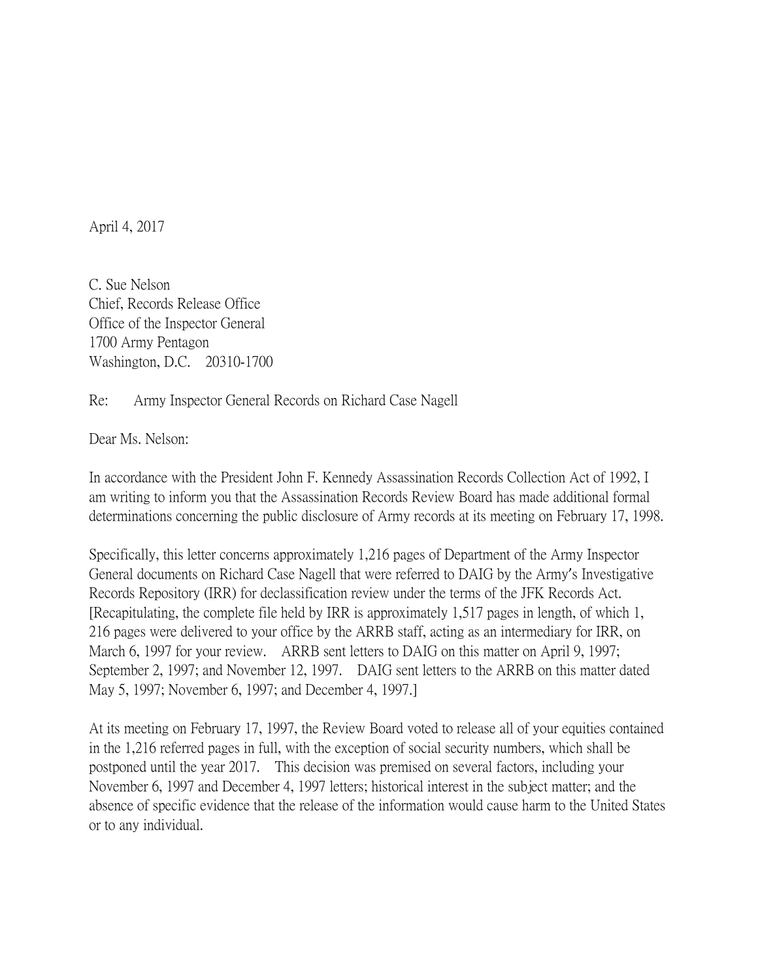April 4, 2017

C. Sue Nelson Chief, Records Release Office Office of the Inspector General 1700 Army Pentagon Washington, D.C. 20310-1700

## Re: Army Inspector General Records on Richard Case Nagell

Dear Ms. Nelson:

In accordance with the President John F. Kennedy Assassination Records Collection Act of 1992, I am writing to inform you that the Assassination Records Review Board has made additional formal determinations concerning the public disclosure of Army records at its meeting on February 17, 1998.

Specifically, this letter concerns approximately 1,216 pages of Department of the Army Inspector General documents on Richard Case Nagell that were referred to DAIG by the Army's Investigative Records Repository (IRR) for declassification review under the terms of the JFK Records Act. [Recapitulating, the complete file held by IRR is approximately 1,517 pages in length, of which 1, 216 pages were delivered to your office by the ARRB staff, acting as an intermediary for IRR, on March 6, 1997 for your review. ARRB sent letters to DAIG on this matter on April 9, 1997; September 2, 1997; and November 12, 1997. DAIG sent letters to the ARRB on this matter dated May 5, 1997; November 6, 1997; and December 4, 1997.]

At its meeting on February 17, 1997, the Review Board voted to release all of your equities contained in the 1,216 referred pages in full, with the exception of social security numbers, which shall be postponed until the year 2017. This decision was premised on several factors, including your November 6, 1997 and December 4, 1997 letters; historical interest in the subject matter; and the absence of specific evidence that the release of the information would cause harm to the United States or to any individual.